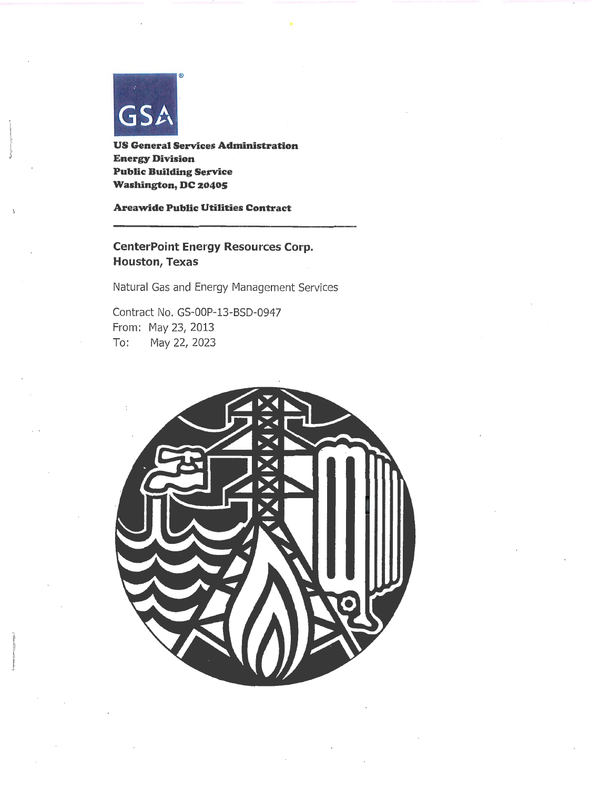

 $\frac{1}{2}$ 

Energy Division **Public Building Service** Washington, DC 2040S

**Areawide Public Utilities Contract** 

CenterPoint Energy Resources Corp. Houston, Texas

Natural Gas and Energy Management Services

Contract No. GS-OOP-13-BSD-0947 From: May 23, 2013 To: May 22, 2023

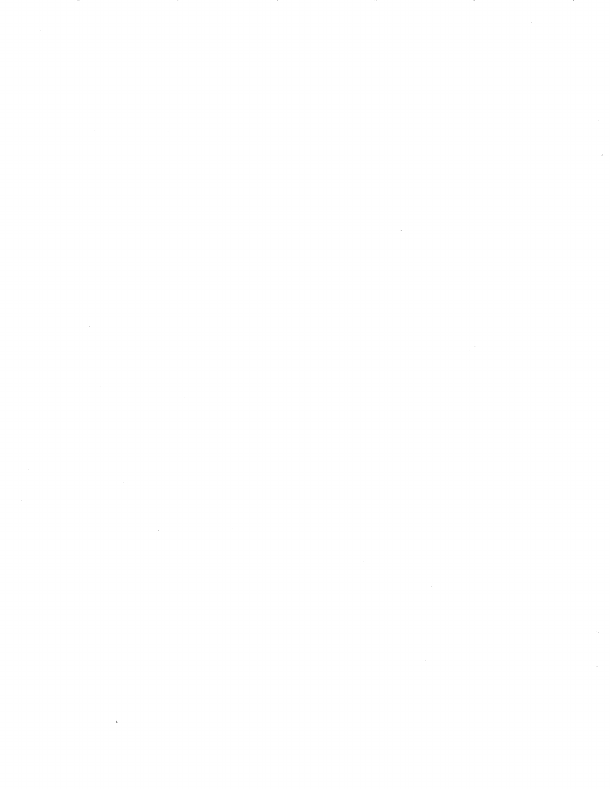$\label{eq:2.1} \frac{1}{\sqrt{2}}\int_{\mathbb{R}^3}\frac{1}{\sqrt{2}}\left(\frac{1}{\sqrt{2}}\right)^2\frac{1}{\sqrt{2}}\left(\frac{1}{\sqrt{2}}\right)^2\frac{1}{\sqrt{2}}\left(\frac{1}{\sqrt{2}}\right)^2\frac{1}{\sqrt{2}}\left(\frac{1}{\sqrt{2}}\right)^2.$ 

 $\star$  .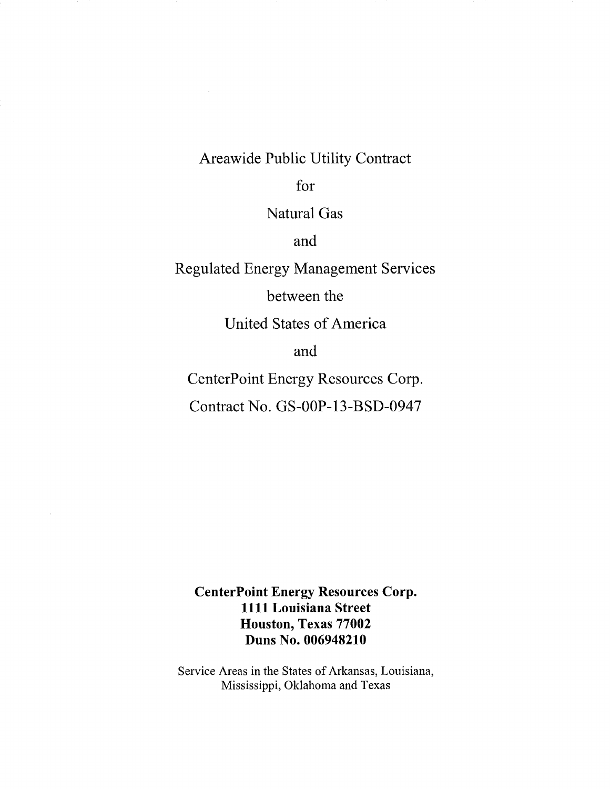# Areawide Public Utility Contract

for

Natural Gas

and

Regulated Energy Management Services

between the

United States of America

and

CenterPoint Energy Resources Corp.

Contract No. GS-OOP-13-BSD-0947

CenterPoint Energy Resources Corp. **1111** Louisiana Street Houston, Texas 77002 Duns No. 006948210

Service Areas in the States of Arkansas, Louisiana, Mississippi, Oklahoma and Texas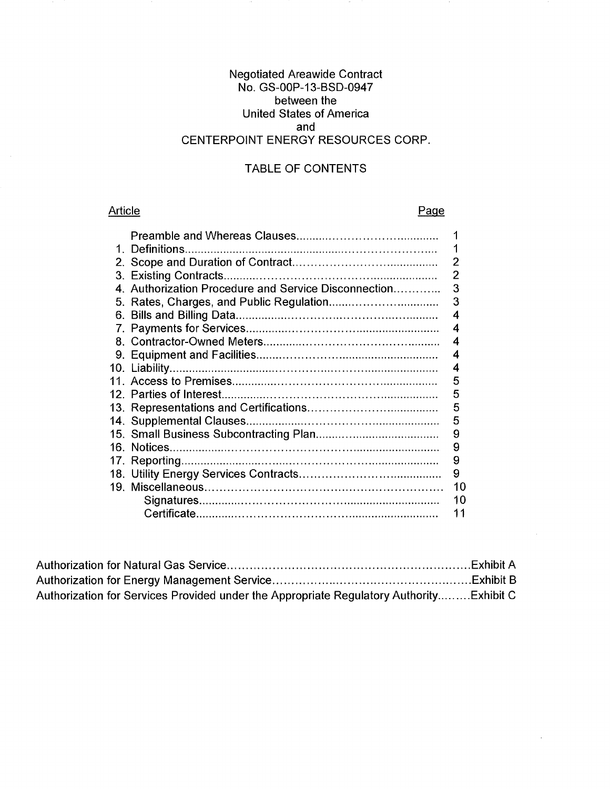## Negotiated Areawide Contract No. GS-OOP-13-BSD-0947 between the United States of America and CENTERPOINT ENERGY RESOURCES CORP.

## TABLE OF CONTENTS

# **Article**

 $\sim$ 

## Page

| 1. |                                                      |                |
|----|------------------------------------------------------|----------------|
|    |                                                      | $\overline{2}$ |
|    |                                                      | $\overline{2}$ |
|    | 4. Authorization Procedure and Service Disconnection | 3              |
|    |                                                      | 3              |
|    |                                                      | 4              |
|    |                                                      |                |
|    |                                                      | 4              |
|    |                                                      | 4              |
|    |                                                      | 4              |
|    |                                                      | 5              |
|    |                                                      | 5              |
|    |                                                      | 5              |
|    |                                                      | 5              |
|    |                                                      | 9              |
|    |                                                      | 9              |
|    |                                                      | 9              |
|    |                                                      | 9              |
|    |                                                      | 10             |
|    |                                                      | 10             |
|    |                                                      |                |
|    |                                                      |                |

| Authorization for Services Provided under the Appropriate Regulatory AuthorityExhibit C |  |
|-----------------------------------------------------------------------------------------|--|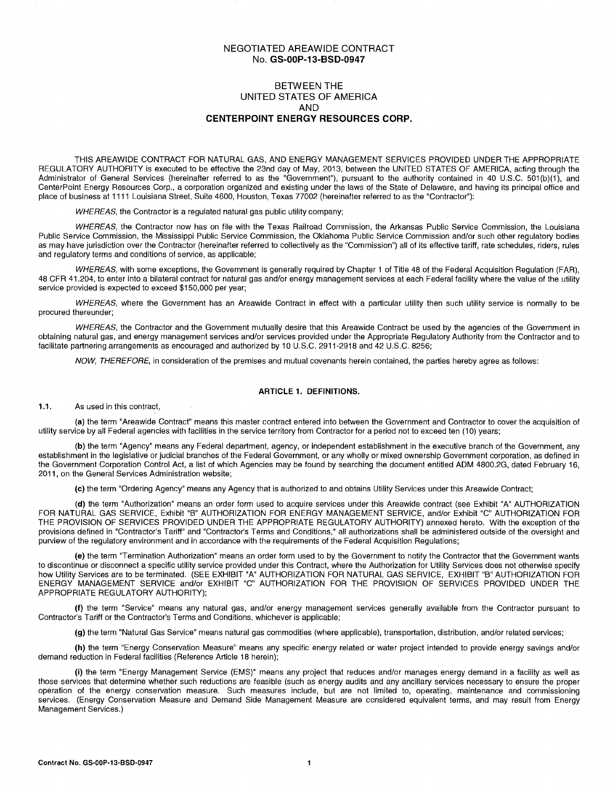## NEGOTIATED AREAWIDE CONTRACT No. GS-OOP-13-BSD-0947

## BETWEEN THE UNITED STATES OF AMERICA AND CENTERPOINT ENERGY RESOURCES CORP.

THIS AREAWIDE CONTRACT FOR NATURAL GAS, AND ENERGY MANAGEMENT SERVICES PROVIDED UNDER THE APPROPRIATE REGULATORY AUTHORITY is executed to be effective the 23nd day of May, 2013, between the UNITED STATES OF AMERICA, acting through the Administrator of General Services (hereinafter referred to as the "Government"), pursuant to the authority contained in 40 U.S.C. 501 (b)(1 ), and CenterPoint Energy Resources Corp., a corporation organized and existing under the laws of the State of Delaware, and having its principal office and place of business at 1111 Louisiana Street, Suite 4600, Houston, Texas 77002 (hereinafter referred to as the "Contractor"):

WHEREAS, the Contractor is a regulated natural gas public utility company;

WHEREAS, the Contractor now has on file with the Texas Railroad Commission, the Arkansas Public Service Commission, the Louisiana Public Service Commission, the Mississippi Public Service Commission, the Oklahoma Public Service Commission and/or such other regulatory bodies as may have jurisdiction over the Contractor (hereinafter referred to collectively as the "Commission") all of its effective tariff, rate schedules, riders, rules and regulatory terms and conditions of service, as applicable;

WHEREAS, with some exceptions, the Government is generally required by Chapter 1 of Title 48 of the Federal Acquisition Regulation (FAR), 48 CFR 41.204, to enter into a bilateral contract for natural gas and/or energy management services at each Federal facility where the value of the utility service provided is expected to exceed \$150,000 per year;

WHEREAS, where the Government has an Areawide Contract in effect with a particular utility then such utility service is normally to be procured thereunder;

WHEREAS, the Contractor and the Government mutually desire that this Areawide Contract be used by the agencies of the Government in obtaining natural gas, and energy management services and/or services provided under the Appropriate Regulatory Authority from the Contractor and to facilitate partnering arrangements as encouraged and authorized by 10 U.S.C. 2911-2918 and 42 U.S.C. 8256;

NOW, THEREFORE, in consideration of the premises and mutual covenants herein contained, the parties hereby agree as follows:

#### ARTICLE 1. DEFINITIONS.

1.1. As used in this contract,

(a) the term "Areawide Contract" means this master contract entered into between the Government and Contractor to cover the acquisition of utility service by all Federal agencies with facilities in the service territory from Contractor for a period not to exceed ten (10) years;

(b) the term "Agency" means any Federal department, agency, or independent establishment in the executive branch of the Government, any establishment in the legislative or judicial branches of the Federal Government, or any wholly or mixed ownership Government corporation, as defined in the Government Corporation Control Act, a list of which Agencies may be found by searching the document entitled ADM 4800.2G, dated February 16, 2011, on the General Services Administration website;

(c) the term "Ordering Agency" means any Agency that is authorized to and obtains Utility Services under this Areawide Contract;

(d) the term "Authorization" means an order form used to acquire services under this Areawide contract (see Exhibit "A" AUTHORIZATION FOR NATURAL GAS SERVICE, Exhibit "B" AUTHORIZATION FOR ENERGY MANAGEMENT SERVICE, and/or Exhibit "C" AUTHORIZATION FOR THE PROVISION OF SERVICES PROVIDED UNDER THE APPROPRIATE REGULATORY AUTHORITY) annexed hereto. With the exception of the provisions defined in "Contractor's Tariff" and "Contractor's Terms and Conditions," all authorizations shall be administered outside of the oversight and purview of the regulatory environment and in accordance with the requirements of the Federal Acquisition Regulations;

(e) the term "Termination Authorization" means an order form used to by the Government to notify the Contractor that the Government wants to discontinue or disconnect a specific utility service provided under this Contract, where the Authorization for Utility Services does not otherwise specify how Utility Services are to be terminated. (SEE EXHIBIT "A" AUTHORIZATION FOR NATURAL GAS SERVICE, EXHIBIT "B" AUTHORIZATION FOR ENERGY MANAGEMENT SERVICE and/or EXHIBIT "C" AUTHORIZATION FOR THE PROVISION OF SERVICES PROVIDED UNDER THE APPROPRIATE REGULATORY AUTHORITY);

(f) the term "Service" means any natural gas, and/or energy management services generally available from the Contractor pursuant to Contractor's Tariff or the Contractor's Terms and Conditions, whichever is applicable;

(g) the term "Natural Gas Service" means natural gas commodities (where applicable), transportation, distribution, and/or related services;

(h) the term "Energy Conservation Measure" means any specific energy related or water project intended to provide energy savings and/or demand reduction in Federal facilities (Reference Article 18 herein);

(i) the term "Energy Management Service (EMS)" means any project that reduces and/or manages energy demand in a facility as well as those services that determine whether such reductions are feasible (such as energy audits and any ancillary services necessary to ensure the proper operation of the energy conservation measure. Such measures include, but are not limited to, operating, maintenance and commissioning services. (Energy Conservation Measure and Demand Side Management Measure are considered equivalent terms, and may result from Energy Management Services.)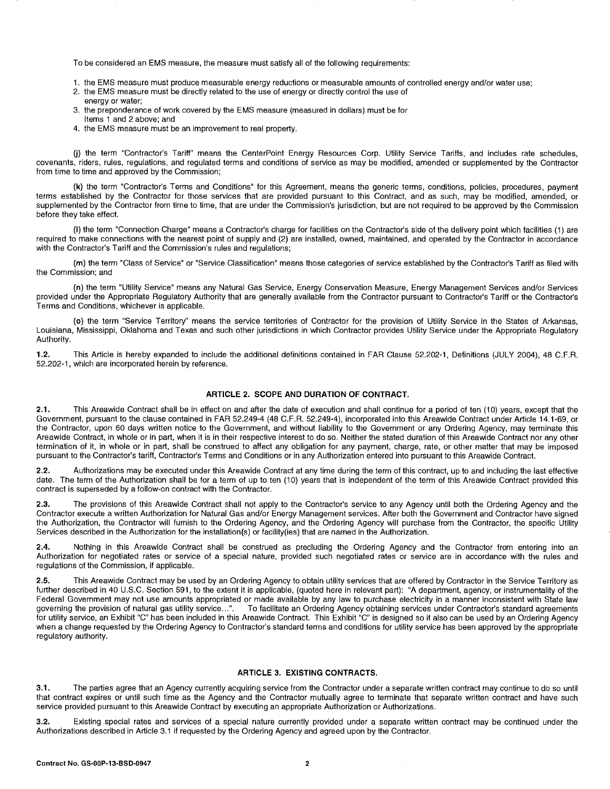To be considered an EMS measure, the measure must satisfy all of the following requirements:

- 1. the EMS measure must produce measurable energy reductions or measurable amounts of controlled energy and/or water use;
- 2. the EMS measure must be directly related to the use of energy or directly control the use of energy or water;
- 3. the preponderance of work covered by the EMS measure (measured in dollars) must be for Items 1 and 2 above; and
- 4. the EMS measure must be an improvement to real property.

**(j)** the term "Contractor's Tariff" means the CenterPoint Energy Resources Corp. Utility Service Tariffs, and includes rate schedules, covenants, riders, rules, regulations, and regulated terms and conditions of service as may be modified, amended or supplemented by the Contractor from time to time and approved by the Commission;

**(k)** the term "Contractor's Terms and Conditions" for this Agreement, means the generic terms, conditions, policies, procedures, payment terms established by the Contractor for those services that are provided pursuant to this Contract, and as such, may be modified, amended, or supplemented by the Contractor from time to time, that are under the Commission's jurisdiction, but are not required to be approved by the Commission before they take effect.

**(I)** the term "Connection Charge" means a Contractor's charge for facilities on the Contractor's side of the delivery point which facilities (1) are required to make connections with the nearest point of supply and (2) are installed, owned, maintained, and operated by the Contractor in accordance with the Contractor's Tariff and the Commission's rules and regulations;

**(m)** the term "Class of Service" or "Service Classification" means those categories of service established by the Contractor's Tariff as filed with the Commission; and

**(n)** the term "Utility Service" means any Natural Gas Service, Energy Conservation Measure, Energy Management Services and/or Services provided under the Appropriate Regulatory Authority that are generally available from the Contractor pursuant to Contractor's Tariff or the Contractor's Terms and Conditions, whichever is applicable.

**(o)** the term "Service Territory'' means the service territories of Contractor for the provision of Utility Service in the States of Arkansas, Louisiana, Mississippi, Oklahoma and Texas and such other jurisdictions in which Contractor provides Utility Service under the Appropriate Regulatory Authority.

**1.2.** This Article is hereby expanded to include the additional definitions contained in FAR Clause 52.202-1, Definitions (JULY 2004), 48 C.F.R. 52.202-1, which are incorporated herein by reference.

#### **ARTICLE 2. SCOPE AND DURATION OF CONTRACT.**

**2.1.** This Areawide Contract shall be in effect on and after the date of execution and shall continue for a period of ten (10) years, except that the Government, pursuant to the clause contained in FAR 52.249-4 (48 C.F.R. 52.249-4), incorporated into this Areawide Contract under Article 14.1-69, or the Contractor, upon 60 days written notice to the Government, and without liability to the Government or any Ordering Agency, may terminate this Areawide Contract, in whole or in part, when it is in their respective interest to do so. Neither the stated duration of this Areawide Contract nor any other termination of it, in whole or in part, shall be construed to affect any obligation for any payment, charge, rate, or other matter that may be imposed pursuant to the Contractor's tariff, Contractor's Terms and Conditions or in any Authorization entered into pursuant to this Areawide Contract.

**2.2.** Authorizations may be executed under this Areawide Contract at any time during the term of this contract, up to and including the last effective date. The term of the Authorization shall be for a term of up to ten (10) years that is independent of the term of this Areawide Contract provided this contract is superseded by a follow-on contract with the Contractor.

**2.3.** The provisions of this Areawide Contract shall not apply to the Contractor's service to any Agency until both the Ordering Agency and the Contractor execute a written Authorization for Natural Gas and/or Energy Management services. After both the Government and Contractor have signed the Authorization, the Contractor will furnish to the Ordering Agency, and the Ordering Agency will purchase from the Contractor, the specific Utility Services described in the Authorization for the installation(s) or facility(ies) that are named in the Authorization.

**2.4.** Nothing in this Areawide Contract shall be construed as precluding the Ordering Agency and the Contractor from entering into an Authorization for negotiated rates or service of a special nature, provided such negotiated rates or service are in accordance with the rules and regulations of the Commission, if applicable.

**2.5.** This Areawide Contract may be used by an Ordering Agency to obtain utility services that are offered by Contractor in the Service Territory as further described in 40 U.S.C. Section 591, to the extent it is applicable, (quoted here in relevant part): "A department, agency, or instrumentality of the Federal Government may not use amounts appropriated or made available by any law to purchase electricity in a manner inconsistent with State law governing the provision of natural gas utility service...". To facilitate an Ordering Agency obtaining services under Contractor's standard agreements for utility service, an Exhibit "C" has been included in this Areawide Contract. This Exhibit "C" is designed so it also can be used by an Ordering Agency when a change requested by the Ordering Agency to Contractor's standard terms and conditions for utility service has been approved by the appropriate regulatory authority.

#### **ARTICLE 3. EXISTING CONTRACTS.**

**3.1.** The parties agree that an Agency currently acquiring service from the Contractor under a separate written contract may continue to do so until that contract expires or until such time as the Agency and the Contractor mutually agree to terminate that separate written contract and have such service provided pursuant to this Areawide Contract by executing an appropriate Authorization or Authorizations.

**3.2.** Existing special rates and services of a special nature currently provided under a separate written contract may be continued under the Authorizations described in Article 3.1 if requested by the Ordering Agency and agreed upon by the Contractor.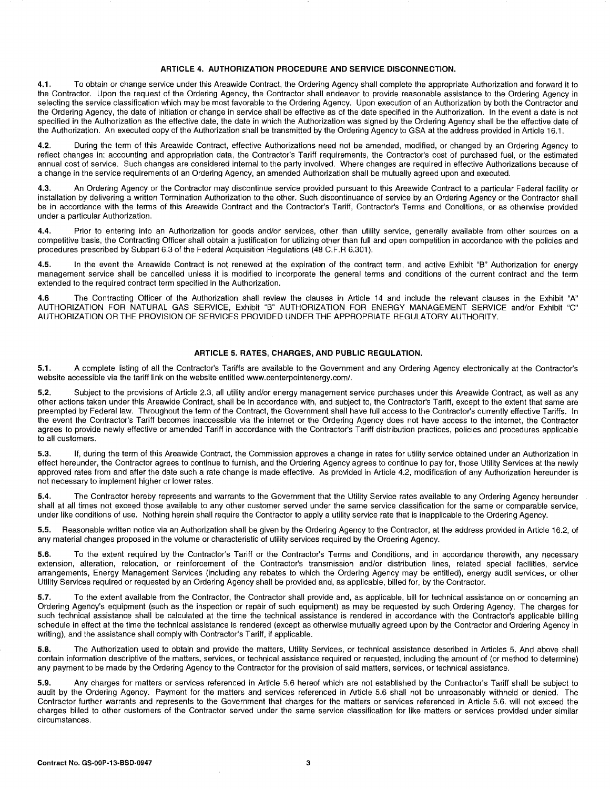## **ARTICLE 4. AUTHORIZATION PROCEDURE AND SERVICE DISCONNECTION.**

**4.1.** To obtain or change service under this Areawide Contract, the Ordering Agency shall complete the appropriate Authorization and forward it to the Contractor. Upon the request of the Ordering Agency, the Contractor shall endeavor to provide reasonable assistance to the Ordering Agency in selecting the service classification which may be most favorable to the Ordering Agency. Upon execution of an Authorization by both the Contractor and the Ordering Agency, the date of initiation or change in service shall be effective as of the date specified in the Authorization. In the event a date is not specified in the Authorization as the effective date, the date in which the Authorization was signed by the Ordering Agency shall be the effective date of the Authorization. An executed copy of the Authorization shall be transmitted by the Ordering Agency to GSA at the address provided in Article 16.1.

**4.2.** During the term of this Areawide Contract, effective Authorizations need not be amended, modified, or changed by an Ordering Agency to reflect changes in: accounting and appropriation data, the Contractor's Tariff requirements, the Contractor's cost of purchased fuel, or the estimated annual cost of service. Such changes are considered internal to the party involved. Where changes are required in effective Authorizations because of a change in the service requirements of an Ordering Agency, an amended Authorization shall be mutually agreed upon and executed.

**4.3.** An Ordering Agency or the Contractor may discontinue service provided pursuant to this Areawide Contract to a particular Federal facility or installation by delivering a written Termination Authorization to the other. Such discontinuance of service by an Ordering Agency or the Contractor shall be in accordance with the terms of this Areawide Contract and the Contractor's Tariff, Contractor's Terms and Conditions, or as otherwise provided under a particular Authorization.

**4.4.** Prior to entering into an Authorization for goods and/or services, other than utility service, generally available from other sources on a competitive basis, the Contracting Officer shall obtain a justification for utilizing other than full and open competition in accordance with the policies and procedures prescribed by Subpart 6.3 of the Federal Acquisition Regulations (48 C.F.R 6.301).

**4.5.** In the event the Areawide Contract is not renewed at the expiration of the contract term, and active Exhibit "B" Authorization for energy management service shall be cancelled unless it is modified to incorporate the general terms and conditions of the current contract and the term extended to the required contract term specified in the Authorization.

**4.6** The Contracting Officer of the Authorization shall review the clauses in Article 14 and include the relevant clauses in the Exhibit "A" AUTHORIZATION FOR NATURAL GAS SERVICE, Exhibit "B" AUTHORIZATION FOR ENERGY MANAGEMENT SERVICE and/or Exhibit "C" AUTHORIZATION OR THE PROVISION OF SERVICES PROVIDED UNDER THE APPROPRIATE REGULATORY AUTHORITY.

#### **ARTICLE 5. RATES, CHARGES, AND PUBLIC REGULATION.**

**5.1.** A complete listing of all the Contractor's Tariffs are available to the Government and any Ordering Agency electronically at the Contractor's website accessible via the tariff link on the website entitled www.centerpointenergy.com/.

**5.2.** Subject to the provisions of Article 2.3, all utility and/or energy management service purchases under this Areawide Contract, as well as any other actions taken under this Areawide Contract, shall be in accordance with, and subject to, the Contractor's Tariff, except to the extent that same are preempted by Federal law. Throughout the term of the Contract, the Government shall have full access to the Contractor's currently effective Tariffs. In the event the Contractor's Tariff becomes inaccessible via the internet or the Ordering Agency does not have access to the internet, the Contractor agrees to provide newly effective or amended Tariff in accordance with the Contractor's Tariff distribution practices, policies and procedures applicable to all customers.

**5.3.** If, during the term of this Areawide Contract, the Commission approves a change in rates for utility service obtained under an Authorization in effect hereunder, the Contractor agrees to continue to furnish, and the Ordering Agency agrees to continue to pay for, those Utility Services at the newly approved rates from and after the date such a rate change is made effective. As provided in Article 4.2, modification of any Authorization hereunder is not necessary to implement higher or lower rates.

**5.4.** The Contractor hereby represents and warrants to the Government that the Utility Service rates available to any Ordering Agency hereunder shall at all times not exceed those available to any other customer served under the same service classification for the same or comparable service, under like conditions of use. Nothing herein shall require the Contractor to apply a utility service rate that is inapplicable to the Ordering Agency.

**5.5.** Reasonable written notice via an Authorization shall be given by the Ordering Agency to the Contractor, at the address provided in Article 16.2, of any material changes proposed in the volume or characteristic of utility services required by the Ordering Agency.

**5.6.** To the extent required by the Contractor's Tariff or the Contractor's Terms and Conditions, and in accordance therewith, any necessary extension, alteration, relocation, or reinforcement of the Contractor's transmission and/or distribution lines, related special facilities, service arrangements, Energy Management Services (including any rebates to which the Ordering Agency may be entitled), energy audit services, or other Utility Services required or requested by an Ordering Agency shall be provided and, as applicable, billed for, by the Contractor.

**5.7.** To the extent available from the Contractor, the Contractor shall provide and, as applicable, bill for technical assistance on or concerning an Ordering Agency's equipment (such as the inspection or repair of such equipment) as may be requested by such Ordering Agency. The charges for such technical assistance shall be calculated at the time the technical assistance is rendered in accordance with the Contractor's applicable billing schedule in effect at the time the technical assistance is rendered (except as otherwise mutually agreed upon by the Contractor and Ordering Agency in writing), and the assistance shall comply with Contractor's Tariff, if applicable.

**5.8.** The Authorization used to obtain and provide the matters, Utility Services, or technical assistance described in Articles 5. And above shall contain information descriptive of the matters, services, or technical assistance required or requested, including the amount of (or method to determine) any payment to be made by the Ordering Agency to the Contractor for the provision of said matters, services, or technical assistance.

**5.9.** Any charges for matters or services referenced in Article 5.6 hereof which are not established by the Contractor's Tariff shall be subject to audit by the Ordering Agency. Payment for the matters and services referenced in Article 5.6 shall not be unreasonably withheld or denied. The Contractor further warrants and represents to the Government that charges for the matters or services referenced in Article 5.6. will not exceed the charges billed to other customers of the Contractor served under the same service classification for like matters or services provided under similar circumstances.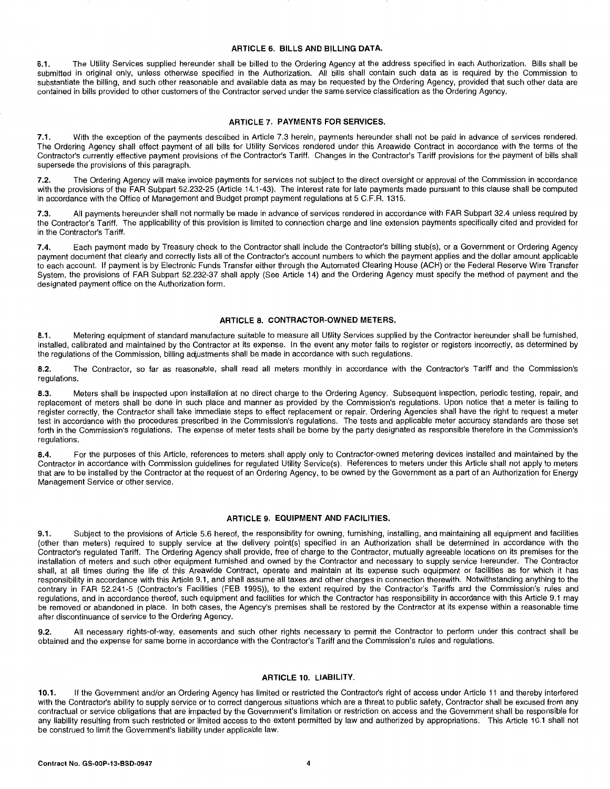#### **ARTICLE 6. BILLS AND BILLING DATA.**

**6.1.** The Utility Services supplied hereunder shall be billed to the Ordering Agency at the address specified in each Authorization. Bills shall be submitted in original only, unless otherwise specified in the Authorization. All bills shall contain such data as is required by the Commission to substantiate the billing, and such other reasonable and available data as may be requested by the Ordering Agency, provided that such other data are contained in bills provided to other customers of the Contractor served under the same service classification as the Ordering Agency.

#### **ARTICLE 7. PAYMENTS FOR SERVICES.**

**7.1.** With the exception of the payments described in Article 7.3 herein, payments hereunder shall not be paid in advance of services rendered. The Ordering Agency shall effect payment of all bills for Utility Services rendered under this Areawide Contract in accordance with the terms of the Contractor's currently effective payment provisions of the Contractor's Tariff. Changes in the Contractor's Tariff provisions for the payment of bills shall supersede the provisions of this paragraph.

**7.2.** The Ordering Agency will make invoice payments for services not subject to the direct oversight or approval of the Commission in accordance with the provisions of the FAR Subpart 52.232-25 (Article 14.1-43). The interest rate for late payments made pursuant to this clause shall be computed in accordance with the Office of Management and Budget prompt payment regulations at 5 C.F.R. 1315.

**7.3.** All payments hereunder shall not normally be made in advance of services rendered in accordance with FAR Subpart 32.4 unless required by the Contractor's Tariff. The applicability of this provision is limited to connection charge and line extension payments specifically cited and provided for in the Contractor's Tariff.

**7.4.** Each payment made by Treasury check to the Contractor shall include the Contractor's billing stub(s), or a Government or Ordering Agency payment document that clearly and correctly lists all of the Contractor's account numbers to which the payment applies and the dollar amount applicable to each account. If payment is by Electronic Funds Transfer either through the Automated Clearing House (ACH) or the Federal Reserve Wire Transfer System, the provisions of FAR Subpart 52.232-37 shall apply (See Article 14) and the Ordering Agency must specify the method of payment and the designated payment office on the Authorization form.

#### **ARTICLE 8. CONTRACTOR-OWNED METERS.**

**8.1.** Metering equipment of standard manufacture suitable to measure all Utility Services supplied by the Contractor hereunder shall be furnished, installed, calibrated and maintained by the Contractor at its expense. In the event any meter fails to register or registers incorrectly, as determined by the regulations of the Commission, billing adjustments shall be made in accordance with such regulations.

**8.2.** The Contractor, so far as reasonable, shall read all meters monthly in accordance with the Contractor's Tariff and the Commission's regulations.

**8.3.** Meters shall be inspected upon installation at no direct charge to the Ordering Agency. Subsequent inspection, periodic testing, repair, and replacement of meters shall be done in such place and manner as provided by the Commission's regulations. Upon notice that a meter is failing to register correctly, the Contractor shall take immediate steps to effect replacement or repair. Ordering Agencies shall have the right to request a meter test in accordance with the procedures prescribed in the Commission's regulations. The tests and applicable meter accuracy standards are those set forth in the Commission's regulations. The expense of meter tests shall be borne by the party designated as responsible therefore in the Commission's regulations.

**8.4.** For the purposes of this Article, references to meters shall apply only to Contractor-owned metering devices installed and maintained by the Contractor in accordance with Commission guidelines for regulated Utility Service(s). References to meters under this Article shall not apply to meters that are to be installed by the Contractor at the request of an Ordering Agency, to be owned by the Government as a part of an Authorization for Energy Management Service or other service.

#### **ARTICLE 9. EQUIPMENT AND FACILITIES.**

**9.1.** Subject to the provisions of Article 5.6 hereof, the responsibility for owning, furnishing, installing, and maintaining all equipment and facilities (other than meters) required to supply service at the delivery point(s) specified in an Authorization shall be determined in accordance with the Contractor's regulated Tariff. The Ordering Agency shall provide, free of charge to the Contractor, mutually agreeable locations on its premises for the installation of meters and such other equipment furnished and owned by the Contractor and necessary to supply service hereunder. The Contractor shall, at all times during the life of this Areawide Contract, operate and maintain at its expense such equipment or facilities as for which it has responsibility in accordance with this Article 9.1, and shall assume all taxes and other charges in connection therewith. Notwithstanding anything to the contrary in FAR 52.241-5 (Contractor's Facilities (FEB 1995)), to the extent required by the Contractor's Tariffs and the Commission's rules and regulations, and in accordance thereof, such equipment and facilities for which the Contractor has responsibility in accordance with this Article 9.1 may be removed or abandoned in place. In both cases, the Agency's premises shall be restored by the Contractor at its expense within a reasonable time after discontinuance of service to the Ordering Agency.

**9.2.** All necessary rights-of-way, easements and such other rights necessary to permit the Contractor to perform under this contract shall be obtained and the expense for same borne in accordance with the Contractor's Tariff and the Commission's rules and regulations.

#### **ARTICLE 10. LIABILITY.**

**1 0.1.** If the Government and/or an Ordering Agency has limited or restricted the Contractor's right of access under Article 11 and thereby interfered with the Contractor's ability to supply service or to correct dangerous situations which are a threat to public safety, Contractor shall be excused from any contractual or service obligations that are impacted by the Government's limitation or restriction on access and the Government shall be responsible for any liability resulting from such restricted or limited access to the extent permitted by law and authorized by appropriations. This Article 10.1 shall not be construed to limit the Government's liability under applicable law.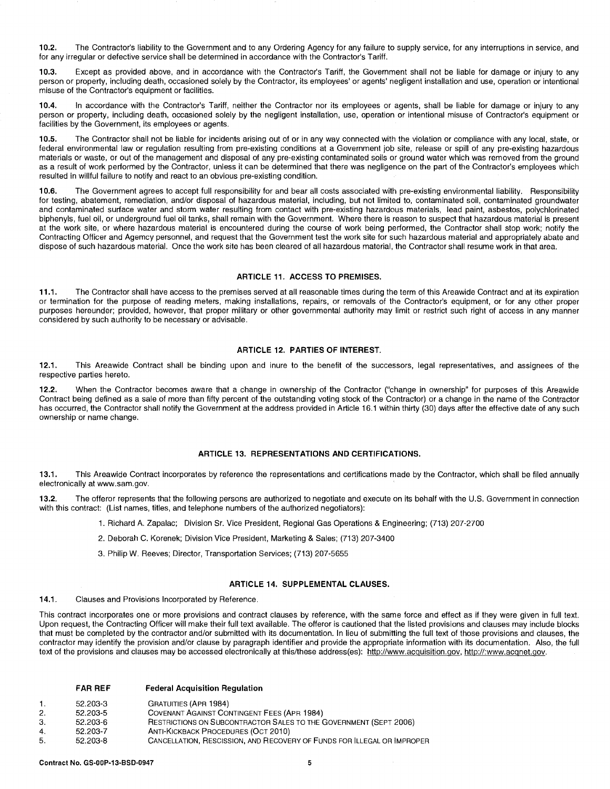**10.2.** The Contractor's liability to the Government and to any Ordering Agency for any failure to supply service, for any interruptions in service, and for any irregular or defective service shall be determined in accordance with the Contractor's Tariff.

**10.3.** Except as provided above, and in accordance with the Contractor's Tariff, the Government shall not be liable for damage or injury to any person or property, including death, occasioned solely by the Contractor, its employees' or agents' negligent installation and use, operation or intentional misuse of the Contractor's equipment or facilities.

**10.4.** In accordance with the Contractor's Tariff, neither the Contractor nor its employees or agents, shall be liable for damage or injury to any person or property, including death, occasioned solely by the negligent installation, use, operation or intentional misuse of Contractor's equipment or facilities by the Government, its employees or agents.

**10.5.** The Contractor shall not be liable for incidents arising out of or in any way connected with the violation or compliance with any local, state, or federal environmental law or regulation resulting from pre-existing conditions at a Government job site, release or spill of any pre-existing hazardous materials or waste, or out of the management and disposal of any pre-existing contaminated soils or ground water which was removed from the ground as a result of work performed by the Contractor, unless it can be determined that there was negligence on the part of the Contractor's employees which resulted in willful failure to notify and react to an obvious pre-existing condition.

**10.6.** The Government agrees to accept full responsibility for and bear all costs associated with pre-existing environmental liability. Responsibility for testing, abatement, remediation, and/or disposal of hazardous material, including, but not limited to, contaminated soil, contaminated groundwater and contaminated surface water and storm water resulting from contact with pre-existing hazardous materials, lead paint, asbestos, polychlorinated biphenyls, fuel oil, or underground fuel oil tanks, shall remain with the Government. Where there is reason to suspect that hazardous material is present at the work site, or where hazardous material is encountered during the course of work being performed, the Contractor shall stop work; notify the Contracting Officer and Agemcy personnel, and request that the Government test the work site for such hazardous material and appropriately abate and dispose of such hazardous material. Once the work site has been cleared of all hazardous material, the Contractor shall resume work in that area.

#### **ARTICLE 11. ACCESS TO PREMISES.**

**11.1.** The Contractor shall have access to the premises served at all reasonable times during the term of this Areawide Contract and at its expiration or termination for the purpose of reading meters, making installations, repairs, or removals of the Contractor's equipment, or for any other proper purposes hereunder; provided, however, that proper military or other governmental authority may limit or restrict such right of access in any manner considered by such authority to be necessary or advisable.

#### **ARTICLE 12. PARTIES OF INTEREST.**

**12.1.** This Areawide Contract shall be binding upon and inure to the benefit of the successors, legal representatives, and assignees of the respective parties hereto.

**12.2.** When the Contractor becomes aware that a change in ownership of the Contractor ("change in ownership" for purposes of this Areawide Contract being defined as a sale of more than fifty percent of the outstanding voting stock of the Contractor) or a change in the name of the Contractor has occurred, the Contractor shall notify the Government at the address provided in Article 16.1 within thirty (30) days after the effective date of any such ownership or name change.

#### **ARTICLE 13. REPRESENTATIONS AND CERTIFICATIONS.**

**13.1.** This Areawide Contract incorporates by reference the representations and certifications made by the Contractor, which shall be filed annually electronically at www.sam.gov.

**13.2.** The offeror represents that the following persons are authorized to negotiate and execute on its behalf with the U.S. Government in connection with this contract: (List names, titles, and telephone numbers of the authorized negotiators):

- 1. Richard A. Zapalac; Division Sr. Vice President, Regional Gas Operations & Engineering; (713) 207-2700
- 2. Deborah C. Korenek; Division Vice President, Marketing & Sales; (713) 207-3400
- 3. Philip W. Reeves; Director, Transportation Services; (713) 207-5655

#### **ARTICLE 14. SUPPLEMENTAL CLAUSES.**

**14.1.** Clauses and Provisions Incorporated by Reference.

This contract incorporates one or more provisions and contract clauses by reference, with the same force and effect as if they were given in full text. Upon request, the Contracting Officer will make their full text available. The offeror is cautioned that the listed provisions and clauses may include blocks that must be completed by the contractor and/or submitted with its documentation. In lieu of submitting the full text of those provisions and clauses, the contractor may identify the provision and/or clause by paragraph identifier and provide the appropriate information with its documentation. Also, the full text of the provisions and clauses may be accessed electronically at this/these address(es): http://www.acquisition.gov, http://:www.acqnet.gov.

#### **FAR REF Federal Acquisition Regulation**

- 1. 52.203-3 GRATUITIES (APR 1984)
- 2. 52.203-5 COVENANT AGAINST CONTINGENT FEES (APR 1984)<br>3. 52.203-6 RESTRICTIONS ON SUBCONTRACTOR SALES TO THE (
	- RESTRICTIONS ON SUBCONTRACTOR SALES TO THE GOVERNMENT (SEPT 2006)
- 4. 52.203-7 ANTI-KICKBACK PROCEDURES (OCT 2010)<br>5. 52.203-8 CANCELLATION, BESCISSION, AND BECOVE
- CANCELLATION, RESCISSION, AND RECOVERY OF FUNDS FOR ILLEGAL OR IMPROPER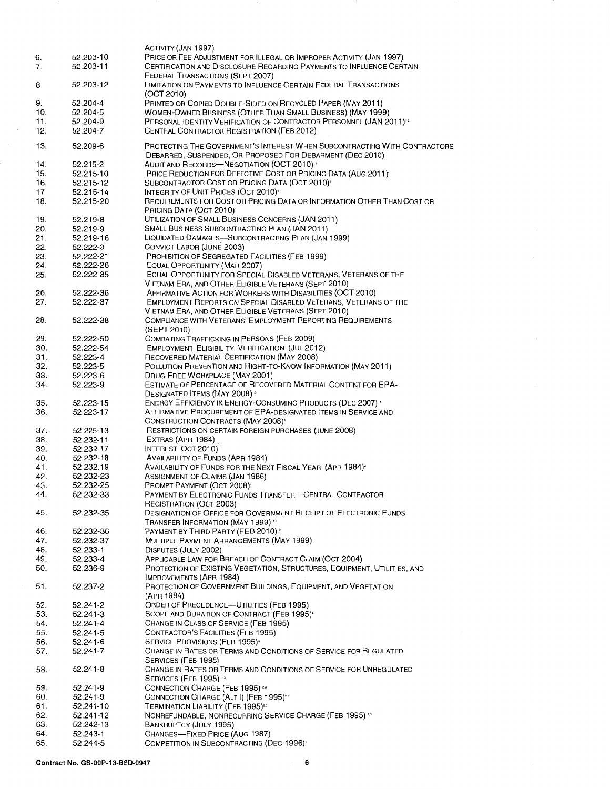|     |           | ACTIVITY (JAN 1997)                                                             |
|-----|-----------|---------------------------------------------------------------------------------|
| 6.  | 52.203-10 | PRICE OR FEE ADJUSTMENT FOR ILLEGAL OR IMPROPER ACTIVITY (JAN 1997)             |
| 7.  | 52.203-11 | CERTIFICATION AND DISCLOSURE REGARDING PAYMENTS TO INFLUENCE CERTAIN            |
|     |           | FEDERAL TRANSACTIONS (SEPT 2007)                                                |
| 8   | 52.203-12 | LIMITATION ON PAYMENTS TO INFLUENCE CERTAIN FEDERAL TRANSACTIONS                |
|     |           |                                                                                 |
|     |           | (OCT 2010)                                                                      |
| 9.  | 52.204-4  | PRINTED OR COPIED DOUBLE-SIDED ON RECYCLED PAPER (MAY 2011)                     |
| 10. | 52.204-5  | WOMEN-OWNED BUSINESS (OTHER THAN SMALL BUSINESS) (MAY 1999)                     |
| 11. | 52.204-9  | PERSONAL IDENTITY VERIFICATION OF CONTRACTOR PERSONNEL (JAN 2011) <sup>12</sup> |
| 12. | 52.204-7  | CENTRAL CONTRACTOR REGISTRATION (FEB 2012)                                      |
|     |           |                                                                                 |
| 13. | 52.209-6  | PROTECTING THE GOVERNMENT'S INTEREST WHEN SUBCONTRACTING WITH CONTRACTORS       |
|     |           | DEBARRED, SUSPENDED, OR PROPOSED FOR DEBARMENT (DEC 2010)                       |
| 14. | 52.215-2  | AUDIT AND RECORDS-NEGOTIATION (OCT 2010) '                                      |
| 15. | 52.215-10 | PRICE REDUCTION FOR DEFECTIVE COST OR PRICING DATA (AUG 2011) <sup>®</sup>      |
| 16. | 52.215-12 | SUBCONTRACTOR COST OR PRICING DATA (OCT 2010)'                                  |
|     |           |                                                                                 |
| 17  | 52.215-14 | INTEGRITY OF UNIT PRICES (OCT 2010)'                                            |
| 18. | 52.215-20 | REQUIREMENTS FOR COST OR PRICING DATA OR INFORMATION OTHER THAN COST OR         |
|     |           | PRICING DATA (OCT 2010)                                                         |
| 19. | 52.219-8  | UTILIZATION OF SMALL BUSINESS CONCERNS (JAN 2011)                               |
| 20. | 52.219-9  | SMALL BUSINESS SUBCONTRACTING PLAN (JAN 2011)                                   |
| 21. | 52.219-16 | LIQUIDATED DAMAGES-SUBCONTRACTING PLAN (JAN 1999)                               |
|     |           | CONVICT LABOR (JUNE 2003)                                                       |
| 22. | 52.222-3  |                                                                                 |
| 23. | 52.222-21 | PROHIBITION OF SEGREGATED FACILITIES (FEB 1999)                                 |
| 24. | 52.222-26 | EQUAL OPPORTUNITY (MAR 2007)                                                    |
| 25. | 52.222-35 | EQUAL OPPORTUNITY FOR SPECIAL DISABLED VETERANS, VETERANS OF THE                |
|     |           | VIETNAM ERA, AND OTHER ELIGIBLE VETERANS (SEPT 2010)                            |
| 26. | 52.222-36 | AFFIRMATIVE ACTION FOR WORKERS WITH DISABILITIES (OCT 2010)                     |
|     | 52.222-37 | EMPLOYMENT REPORTS ON SPECIAL DISABLED VETERANS, VETERANS OF THE                |
| 27. |           |                                                                                 |
|     |           | VIETNAM ERA, AND OTHER ELIGIBLE VETERANS (SEPT 2010)                            |
| 28. | 52.222-38 | COMPLIANCE WITH VETERANS' EMPLOYMENT REPORTING REQUIREMENTS                     |
|     |           | (SEPT 2010)                                                                     |
| 29. | 52.222-50 | COMBATING TRAFFICKING IN PERSONS (FEB 2009)                                     |
| 30. | 52.222-54 | EMPLOYMENT ELIGIBILITY VERIFICATION (JUL 2012)                                  |
| 31. | 52.223-4  | RECOVERED MATERIAL CERTIFICATION (MAY 2008) <sup>+</sup>                        |
|     |           | POLLUTION PREVENTION AND RIGHT-TO-KNOW INFORMATION (MAY 2011)                   |
| 32. | 52.223-5  |                                                                                 |
| 33. | 52.223-6  | DRUG-FREE WORKPLACE (MAY 2001)                                                  |
| 34. | 52.223-9  | ESTIMATE OF PERCENTAGE OF RECOVERED MATERIAL CONTENT FOR EPA-                   |
|     |           | DESIGNATED TEMS (MAY 2008) <sup>13</sup>                                        |
| 35. | 52.223-15 | ENERGY EFFICIENCY IN ENERGY-CONSUMING PRODUCTS (DEC 2007) 1                     |
| 36. | 52.223-17 | AFFIRMATIVE PROCUREMENT OF EPA-DESIGNATED ITEMS IN SERVICE AND                  |
|     |           | CONSTRUCTION CONTRACTS (MAY 2008) <sup>1</sup>                                  |
|     |           |                                                                                 |
| 37. | 52.225-13 | RESTRICTIONS ON CERTAIN FOREIGN PURCHASES (JUNE 2008)                           |
| 38. | 52.232-11 | EXTRAS (APR 1984)                                                               |
| 39. | 52.232-17 | INTEREST OCT 2010)                                                              |
| 40. | 52.232-18 | <b>AVAILABILITY OF FUNDS (APR 1984)</b>                                         |
| 41. | 52.232.19 | AVAILABILITY OF FUNDS FOR THE NEXT FISCAL YEAR (APR 1984) <sup>4</sup>          |
| 42. | 52.232-23 | ASSIGNMENT OF CLAIMS (JAN 1986)                                                 |
| 43. | 52.232-25 | PROMPT PAYMENT (OCT 2008)'                                                      |
|     |           |                                                                                 |
| 44. | 52.232-33 | PAYMENT BY ELECTRONIC FUNDS TRANSFER-CENTRAL CONTRACTOR                         |
|     |           | REGISTRATION (OCT 2003)                                                         |
| 45. | 52.232-35 | DESIGNATION OF OFFICE FOR GOVERNMENT RECEIPT OF ELECTRONIC FUNDS                |
|     |           | TRANSFER INFORMATION (MAY 1999) <sup>12</sup>                                   |
| 46. | 52.232-36 | PAYMENT BY THIRD PARTY (FEB 2010) <sup>2</sup>                                  |
| 47. | 52.232-37 | MULTIPLE PAYMENT ARRANGEMENTS (MAY 1999)                                        |
| 48. | 52.233-1  | DISPUTES (JULY 2002)                                                            |
|     |           | APPLICABLE LAW FOR BREACH OF CONTRACT CLAIM (OCT 2004)                          |
| 49. | 52.233-4  |                                                                                 |
| 50. | 52.236-9  | PROTECTION OF EXISTING VEGETATION, STRUCTURES, EQUIPMENT, UTILITIES, AND        |
|     |           | <b>IMPROVEMENTS (APR 1984)</b>                                                  |
| 51. | 52.237-2  | PROTECTION OF GOVERNMENT BUILDINGS, EQUIPMENT, AND VEGETATION                   |
|     |           | (APR 1984)                                                                      |
| 52. | 52.241-2  | ORDER OF PRECEDENCE-UTILITIES (FEB 1995)                                        |
| 53. | 52.241-3  | SCOPE AND DURATION OF CONTRACT (FEB 1995) <sup>4</sup>                          |
|     |           |                                                                                 |
| 54. | 52.241-4  | CHANGE IN CLASS OF SERVICE (FEB 1995)                                           |
| 55. | 52.241-5  | CONTRACTOR'S FACILITIES (FEB 1995)                                              |
| 56. | 52.241-6  | SERVICE PROVISIONS (FEB 1995) <sup>+</sup>                                      |
| 57. | 52.241-7  | CHANGE IN RATES OR TERMS AND CONDITIONS OF SERVICE FOR REGULATED                |
|     |           | SERVICES (FEB 1995)                                                             |
| 58. | 52.241-8  | CHANGE IN RATES OR TERMS AND CONDITIONS OF SERVICE FOR UNREGULATED              |
|     |           |                                                                                 |
|     |           | <b>SERVICES (FEB 1995)</b> <sup>13</sup>                                        |
| 59. | 52.241-9  | CONNECTION CHARGE (FEB 1995) <sup>23</sup>                                      |
| 60. | 52.241-9  | CONNECTION CHARGE (ALT I) (FEB 1995) <sup>23</sup>                              |
| 61. | 52.241-10 | TERMINATION LIABILITY (FEB 1995) <sup>23</sup>                                  |
| 62. | 52.241-12 | NONREFUNDABLE, NONRECURRING SERVICE CHARGE (FEB 1995) <sup>23</sup>             |
| 63. | 52.242-13 | BANKRUPTCY (JULY 1995)                                                          |
| 64. | 52.243-1  | CHANGES-FIXED PRICE (AUG 1987)                                                  |
|     |           |                                                                                 |
| 65. | 52.244-5  | COMPETITION IN SUBCONTRACTING (DEC 1996)'                                       |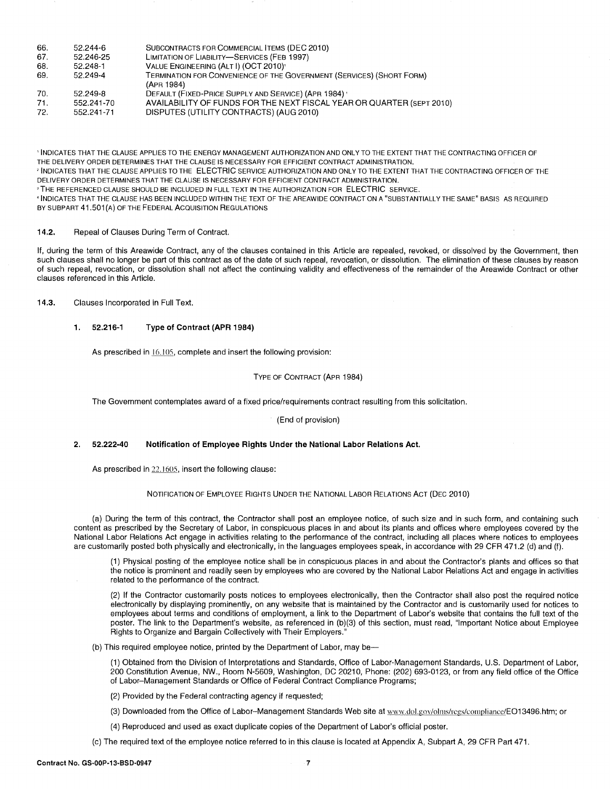| 66. | 52.244-6   | SUBCONTRACTS FOR COMMERCIAL ITEMS (DEC 2010)                                        |
|-----|------------|-------------------------------------------------------------------------------------|
| 67. | 52.246-25  | LIMITATION OF LIABILITY-SERVICES (FEB 1997)                                         |
| 68. | 52.248-1   | VALUE ENGINEERING (ALT I) (OCT 2010)                                                |
| 69. | 52.249-4   | TERMINATION FOR CONVENIENCE OF THE GOVERNMENT (SERVICES) (SHORT FORM)<br>(APR 1984) |
| 70. | 52.249-8   | DEFAULT (FIXED-PRICE SUPPLY AND SERVICE) (APR 1984) '                               |
| 71. | 552.241-70 | AVAILABILITY OF FUNDS FOR THE NEXT FISCAL YEAR OR QUARTER (SEPT 2010)               |
| 72. | 552.241-71 | DISPUTES (UTILITY CONTRACTS) (AUG 2010)                                             |

'INDICATES THAT THE CLAUSE APPLIES TO THE ENERGY MANAGEMENT AUTHORIZATION AND ONLY TO THE EXTENT THAT THE CONTRACTING OFFICER OF THE DELIVERY ORDER DETERMINES THAT THE CLAUSE IS NECESSARY FOR EFFICIENT CONTRACT ADMINISTRATION. 'INDICATES THAT THE CLAUSE APPLIES TO THE ELECTRIC SERVICE AUTHORIZATION AND ONLY TO THE EXTENT THAT THE CONTRACTING OFFICER OF THE DELIVERY ORDER DETERMINES THAT THE CLAUSE IS NECESSARY FOR EFFICIENT CONTRACT ADMINISTRATION.

'THE REFERENCED CLAUSE SHOULD BE INCLUDED IN FULL TEXT IN THE AUTHORIZATION FOR ELECTRIC SERVICE.

'INDICATES THAT THE CLAUSE HAS BEEN INCLUDED WITHIN THE TEXT OF THE AREAWIDE CONTRACT ON A "SUBSTANTIALLY THE SAME" BASIS AS REQUIRED BY SUBPART 41.501(A) OF THE FEDERAL ACQUISITION REGULATIONS

#### **14.2.** Repeal of Clauses During Term of Contract.

If, during the term of this Areawide Contract, any of the clauses contained in this Article are repealed, revoked, or dissolved by the Government, then such clauses shall no longer be part of this contract as of the date of such repeal, revocation, or dissolution. The elimination of these clauses by reason of such repeal, revocation, or dissolution shall not affect the continuing validity and effectiveness of the remainder of the Areawide Contract or other clauses referenced in this Article.

#### **14.3.** Clauses Incorporated in Full Text.

### **1. 52.216-1 Type of Contract (APR 1984)**

As prescribed in 16.105, complete and insert the following provision:

#### TYPE OF CONTRACT (APR 1984)

The Government contemplates award of a fixed price/requirements contract resulting from this solicitation.

#### (End of provision)

#### **2. 52.222-40 Notification of Employee Rights Under the National Labor Relations Act.**

As prescribed in 22.1605, insert the following clause:

#### NOTIFICATION OF EMPLOYEE RIGHTS UNDER THE NATIONAL LABOR RELATIONS ACT (DEC 2010)

(a) During the term of this contract, the Contractor shall post an employee notice, of such size and in such form, and containing such content as prescribed by the Secretary of Labor, in conspicuous places in and about its plants and offices where employees covered by the National Labor Relations Act engage in activities relating to the periormance of the contract, including all places where notices to employees are customarily posted both physically and electronically, in the languages employees speak, in accordance with 29 CFR 471.2 (d) and (f).

(1) Physical posting of the employee notice shall be in conspicuous places in and about the Contractor's plants and offices so that the notice is prominent and readily seen by employees who are covered by the National Labor Relations Act and engage in activities related to the periormance of the contract.

(2) If the Contractor customarily posts notices to employees electronically, then the Contractor shall also post the required notice electronically by displaying prominently, on any website that is maintained by the Contractor and is customarily used for notices to employees about terms and conditions of employment, a link to the Department of Labor's website that contains the full text of the poster. The link to the Department's website, as referenced in (b)(3) of this section, must read, "Important Notice about Employee Rights to Organize and Bargain Collectively with Their Employers."

(b) This required employee notice, printed by the Department of Labor, may be

(1) Obtained from the Division of Interpretations and Standards, Office of Labor-Management Standards, U.S. Department of Labor, 200 Constitution Avenue, NW., Room N-5609, Washington, DC 20210, Phone: (202) 693-0123, or from any field office of the Office of Labor-Management Standards or Office of Federal Contract Compliance Programs;

- (2) Provided by the Federal contracting agency if requested;
- (3) Downloaded from the Office of Labor-Management Standards Web site at www.dol.gov/olms/rcgs/compliance/EO13496.htm; or
- (4) Reproduced and used as exact duplicate copies of the Department of Labor's official poster.

(c) The required text of the employee notice referred to in this clause is located at Appendix A, Subpart A, 29 CFR Part 471.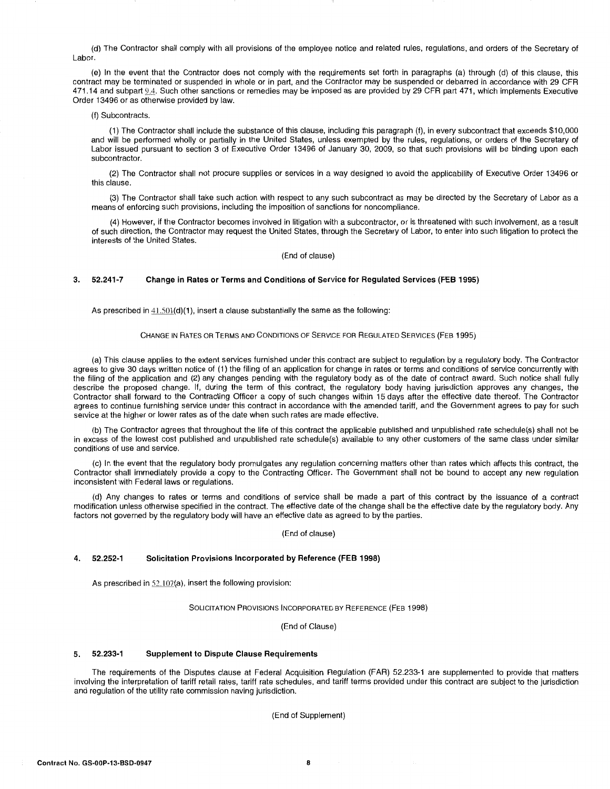(d) The Contractor shall comply with all provisions of the employee notice and related rules, regulations, and orders of the Secretary of Labor.

(e) In the event that the Contractor does not comply with the requirements set forth in paragraphs (a) through (d) of this clause, this contract may be terminated or suspended in whole or in part, and the Contractor may be suspended or debarred in accordance with 29 CFR 471.14 and subpart 9.4. Such other sanctions or remedies may be imposed as are provided by 29 CFR part 471, which implements Executive Order 13496 or as otherwise provided by law.

#### (f) Subcontracts.

(1) The Contractor shall include the substance of this clause, including this paragraph (f), in every subcontract that exceeds \$10,000 and will be performed wholly or partially in the United States, unless exempted by the rules, regulations, or orders of the Secretary of Labor issued pursuant to section 3 of Executive Order 13496 of January 30, 2009, so that such provisions will be binding upon each subcontractor.

(2) The Contractor shall not procure supplies or services in a way designed to avoid the applicability of Executive Order 13496 or this clause.

(3) The Contractor shall take such action with respect to any such subcontract as may be directed by the Secretary of Labor as a means of enforcing such provisions, including the imposition of sanctions for noncompliance.

(4) However, if the Contractor becomes involved in litigation with a subcontractor, or is threatened with such involvement, as a result of such direction, the Contractor may request the United States, through the Secretary of Labor, to enter into such litigation to protect the interests of the United States.

#### (End of clause)

#### **3. 52.241-7 Change in Rates or Terms and Conditions of Service for Regulated Services (FEB 1995)**

As prescribed in  $41.501(d)(1)$ , insert a clause substantially the same as the following:

#### CHANGE IN RATES OR TERMS AND CONDITIONS OF SERVICE FOR REGULATED SERVICES (FEB 1995)

(a) This clause applies to the extent services furnished under this contract are subject to regulation by a regulatory body. The Contractor agrees to give 30 days written notice of (1) the filing of an application for change in rates or terms and conditions of service concurrently with the filing of the application and (2) any changes pending with the regulatory body as of the date of contract award. Such notice shall fully describe the proposed change. If, during the terrn of this contract, the regulatory body having jurisdiction approves any changes, the Contractor shall forward to the Contracting Officer a copy of such changes within 15 days after the effective date thereof. The Contractor agrees to continue furnishing service under this contract in accordance with the amended tariff, and the Government agrees to pay for such service at the higher or lower rates as of the date when such rates are made effective.

(b) The Contractor agrees that throughout the life of this contract the applicable published and unpublished rate schedule(s) shall not be in excess of the lowest cost published and unpublished rate schedule(s) available to any other customers of the same class under similar conditions of use and service.

(c) In the event that the regulatory body promulgates any regulation concerning matters other than rates which affects this contract, the Contractor shall immediately provide a copy to the Contracting Officer. The Government shall not be bound to accept any new regulation inconsistent with Federal laws or regulations.

(d) Any changes to rates or terms and conditions of service shall be made a part of this contract by the issuance of a contract modification unless otherwise specified in the contract. The effective date of the change shall be the effective date by the regulatory body. Any factors not governed by the regulatory body will have an effective date as agreed to by the parties.

#### (End of clause)

#### **4. 52.252-1 Solicitation Provisions Incorporated by Reference (FEB 1998)**

As prescribed in 52.107(a), insert the following provision:

SOLICITATION PROVISIONS INCORPORATED BY REFERENCE (FEB 1998)

(End of Clause)

#### **5. 52.233-1 Supplement to Dispute Clause Requirements**

The requirements of the Disputes clause at Federal Acquisition Regulation (FAR) 52.233-1 are supplemented to provide that matters involving the interpretation of tariff retail rates, tariff rate schedules, and tariff terms provided under this contract are subject to the jurisdiction and regulation of the utility rate commission having jurisdiction.

(End of Supplement)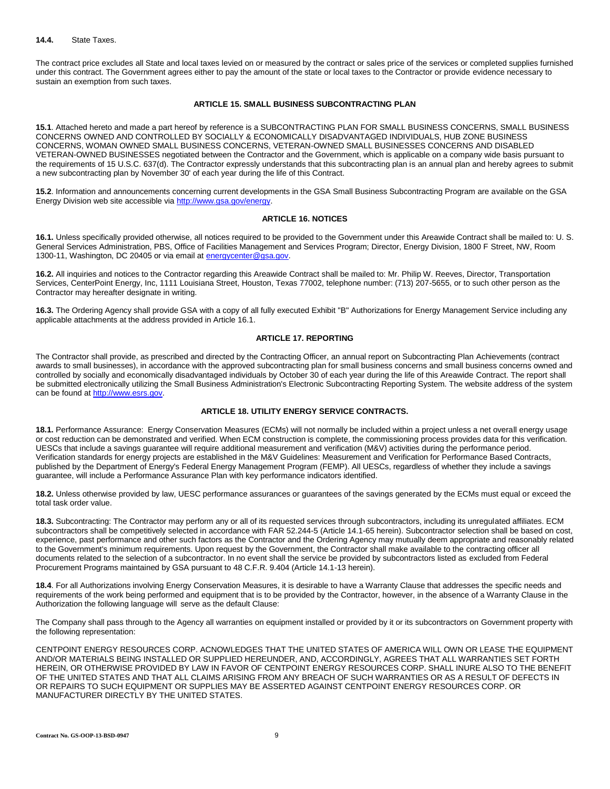#### **14.4.** State Taxes.

The contract price excludes all State and local taxes levied on or measured by the contract or sales price of the services or completed supplies furnished under this contract. The Government agrees either to pay the amount of the state or local taxes to the Contractor or provide evidence necessary to sustain an exemption from such taxes.

### **ARTICLE 15. SMALL BUSINESS SUBCONTRACTING PLAN**

**15.1**. Attached hereto and made a part hereof by reference is a SUBCONTRACTING PLAN FOR SMALL BUSINESS CONCERNS, SMALL BUSINESS CONCERNS OWNED AND CONTROLLED BY SOCIALLY & ECONOMICALLY DISADVANTAGED INDIVIDUALS, HUB ZONE BUSINESS CONCERNS, WOMAN OWNED SMALL BUSINESS CONCERNS, VETERAN-OWNED SMALL BUSINESSES CONCERNS AND DISABLED VETERAN-OWNED BUSINESSES negotiated between the Contractor and the Government, which is applicable on a company wide basis pursuant to the requirements of 15 U.S.C. 637(d). The Contractor expressly understands that this subcontracting plan is an annual plan and hereby agrees to submit a new subcontracting plan by November 30' of each year during the life of this Contract.

**15.2**. Information and announcements concerning current developments in the GSA Small Business Subcontracting Program are available on the GSA Energy Division web site accessible vi[a http://www.gsa.gov/energy.](http://www.gsa.gov/energy)

## **ARTICLE 16. NOTICES**

**16.1.** Unless specifically provided otherwise, all notices required to be provided to the Government under this Areawide Contract shall be mailed to: U. S. General Services Administration, PBS, Office of Facilities Management and Services Program; Director, Energy Division, 1800 F Street, NW, Room 1300-11, Washington, DC 20405 or via email at [energycenter@gsa.gov.](mailto:energycenter@gsa.gov)

**16.2.** All inquiries and notices to the Contractor regarding this Areawide Contract shall be mailed to: Mr. Philip W. Reeves, Director, Transportation Services, CenterPoint Energy, Inc, 1111 Louisiana Street, Houston, Texas 77002, telephone number: (713) 207-5655, or to such other person as the Contractor may hereafter designate in writing.

**16.3.** The Ordering Agency shall provide GSA with a copy of all fully executed Exhibit "B" Authorizations for Energy Management Service including any applicable attachments at the address provided in Article 16.1.

#### **ARTICLE 17. REPORTING**

The Contractor shall provide, as prescribed and directed by the Contracting Officer, an annual report on Subcontracting Plan Achievements (contract awards to small businesses), in accordance with the approved subcontracting plan for small business concerns and small business concerns owned and controlled by socially and economically disadvantaged individuals by October 30 of each year during the life of this Areawide Contract. The report shall be submitted electronically utilizing the Small Business Administration's Electronic Subcontracting Reporting System. The website address of the system can be found a[t http://www.esrs.gov.](http://www.esrs.gov/)

## **ARTICLE 18. UTILITY ENERGY SERVICE CONTRACTS.**

**18.1.** Performance Assurance: Energy Conservation Measures (ECMs) will not normally be included within a project unless a net overall energy usage or cost reduction can be demonstrated and verified. When ECM construction is complete, the commissioning process provides data for this verification. UESCs that include a savings guarantee will require additional measurement and verification (M&V) activities during the performance period. Verification standards for energy projects are established in the M&V Guidelines: Measurement and Verification for Performance Based Contracts, published by the Department of Energy's Federal Energy Management Program (FEMP). All UESCs, regardless of whether they include a savings guarantee, will include a Performance Assurance Plan with key performance indicators identified.

**18.2.** Unless otherwise provided by law, UESC performance assurances or guarantees of the savings generated by the ECMs must equal or exceed the total task order value.

**18.3.** Subcontracting: The Contractor may perform any or all of its requested services through subcontractors, including its unregulated affiliates. ECM subcontractors shall be competitively selected in accordance with FAR 52.244-5 (Article 14.1-65 herein). Subcontractor selection shall be based on cost, experience, past performance and other such factors as the Contractor and the Ordering Agency may mutually deem appropriate and reasonably related to the Government's minimum requirements. Upon request by the Government, the Contractor shall make available to the contracting officer all documents related to the selection of a subcontractor. In no event shall the service be provided by subcontractors listed as excluded from Federal Procurement Programs maintained by GSA pursuant to 48 C.F.R. 9.404 (Article 14.1-13 herein).

**18.4**. For all Authorizations involving Energy Conservation Measures, it is desirable to have a Warranty Clause that addresses the specific needs and requirements of the work being performed and equipment that is to be provided by the Contractor, however, in the absence of a Warranty Clause in the Authorization the following language will serve as the default Clause:

The Company shall pass through to the Agency all warranties on equipment installed or provided by it or its subcontractors on Government property with the following representation:

CENTPOINT ENERGY RESOURCES CORP. ACNOWLEDGES THAT THE UNITED STATES OF AMERICA WILL OWN OR LEASE THE EQUIPMENT AND/OR MATERIALS BEING INSTALLED OR SUPPLIED HEREUNDER, AND, ACCORDINGLY, AGREES THAT ALL WARRANTIES SET FORTH HEREIN, OR OTHERWISE PROVIDED BY LAW IN FAVOR OF CENTPOINT ENERGY RESOURCES CORP. SHALL INURE ALSO TO THE BENEFIT OF THE UNITED STATES AND THAT ALL CLAIMS ARISING FROM ANY BREACH OF SUCH WARRANTIES OR AS A RESULT OF DEFECTS IN OR REPAIRS TO SUCH EQUIPMENT OR SUPPLIES MAY BE ASSERTED AGAINST CENTPOINT ENERGY RESOURCES CORP. OR MANUFACTURER DIRECTLY BY THE UNITED STATES.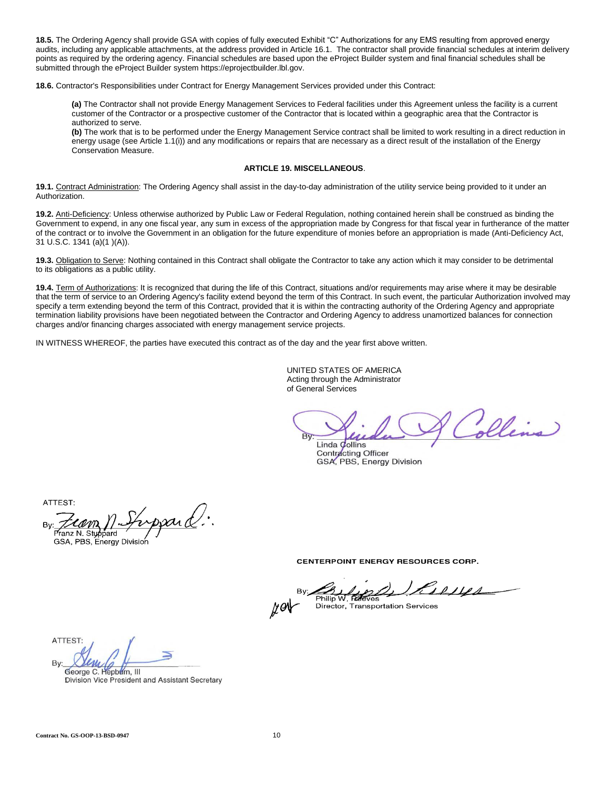**18.5.** The Ordering Agency shall provide GSA with copies of fully executed Exhibit "C" Authorizations for any EMS resulting from approved energy audits, including any applicable attachments, at the address provided in Article 16.1. The contractor shall provide financial schedules at interim delivery points as required by the ordering agency. Financial schedules are based upon the eProject Builder system and final financial schedules shall be submitted through the eProject Builder system https://eprojectbuilder.lbl.gov.

**18.6.** Contractor's Responsibilities under Contract for Energy Management Services provided under this Contract:

**(a)** The Contractor shall not provide Energy Management Services to Federal facilities under this Agreement unless the facility is a current customer of the Contractor or a prospective customer of the Contractor that is located within a geographic area that the Contractor is authorized to serve.

**(b)** The work that is to be performed under the Energy Management Service contract shall be limited to work resulting in a direct reduction in energy usage (see Article 1.1(i)) and any modifications or repairs that are necessary as a direct result of the installation of the Energy Conservation Measure.

#### **ARTICLE 19. MISCELLANEOUS**.

**19.1.** Contract Administration: The Ordering Agency shall assist in the day-to-day administration of the utility service being provided to it under an Authorization.

**19.2.** Anti-Deficiency: Unless otherwise authorized by Public Law or Federal Regulation, nothing contained herein shall be construed as binding the Government to expend, in any one fiscal year, any sum in excess of the appropriation made by Congress for that fiscal year in furtherance of the matter of the contract or to involve the Government in an obligation for the future expenditure of monies before an appropriation is made (Anti-Deficiency Act, 31 U.S.C. 1341 (a)(1 )(A)).

**19.3.** Obligation to Serve: Nothing contained in this Contract shall obligate the Contractor to take any action which it may consider to be detrimental to its obligations as a public utility.

**19.4.** Term of Authorizations: It is recognized that during the life of this Contract, situations and/or requirements may arise where it may be desirable that the term of service to an Ordering Agency's facility extend beyond the term of this Contract. In such event, the particular Authorization involved may specify a term extending beyond the term of this Contract, provided that it is within the contracting authority of the Ordering Agency and appropriate termination liability provisions have been negotiated between the Contractor and Ordering Agency to address unamortized balances for connection charges and/or financing charges associated with energy management service projects.

IN WITNESS WHEREOF, the parties have executed this contract as of the day and the year first above written.

UNITED STATES OF AMERICA Acting through the Administrator of General Services

Olling By

Linda Collins **Contracting Officer** GSA, PBS, Energy Division

ATTEST:

*inppard*: GSA, PBS, Energy Divisic

**CENTERPOINT ENERGY RESOURCES CORP.** 

Reesses nD Philip W, Reeves Director, Transportation Services

**ATTEST** By

George C. Hepburn, III Division Vice President and Assistant Secretary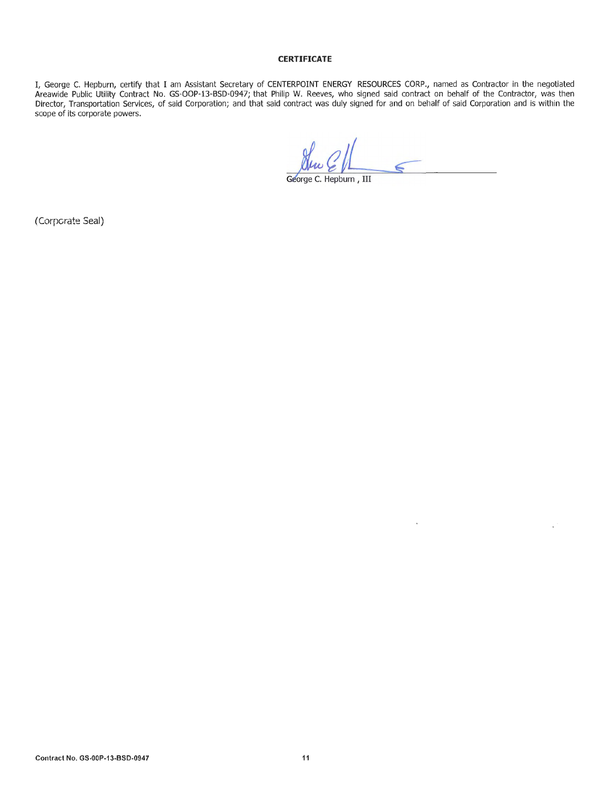#### **CERTIFICATE**

I, George C. Hepburn, certify that I am Assistant Secretary of CENTERPOINT ENERGY RESOURCES CORP., named as Contractor in the negotiated Areawide Public Utility Contract No. GS-OOP-13-BSD-0947; that Philip W. Reeves, who signed said contract on behalf of the Contractor, was then Director, Transportation Services, of said Corporation; and that said contract was duly signed for and on behalf of said Corporation and is within the scope of its corporate powers.

George C. Hepburn , III

(Corpcrate Seal)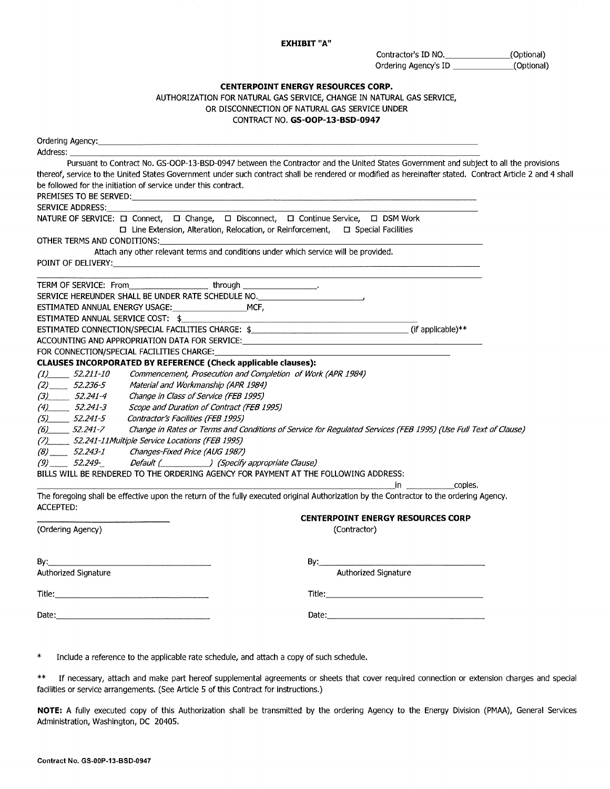| <b>EXHIBIT "A"</b> |  |
|--------------------|--|
|--------------------|--|

Contractor's ID NO. \_\_\_\_\_\_\_\_\_\_\_\_\_\_\_(Optional) Ordering Agency's ID \_\_\_\_\_\_\_\_\_\_\_\_\_\_(Optional)

#### **CENTERPOINT ENERGY RESOURCES CORP.**

AUTHORIZATION FOR NATURAL GAS SERVICE, CHANGE IN NATURAL GAS SERVICE, OR DISCONNECTION OF NATURAL GAS SERVICE UNDER CONTRACT NO. **GS-OOP-13-BSD-0947** 

| Address: Address: Address: Address: Address: Address: Address: Address: Address: Address: Address: A           |                                                                                                                                                                                                                                                                                                   |
|----------------------------------------------------------------------------------------------------------------|---------------------------------------------------------------------------------------------------------------------------------------------------------------------------------------------------------------------------------------------------------------------------------------------------|
| be followed for the initiation of service under this contract.                                                 | Pursuant to Contract No. GS-OOP-13-BSD-0947 between the Contractor and the United States Government and subject to all the provisions<br>thereof, service to the United States Government under such contract shall be rendered or modified as hereinafter stated. Contract Article 2 and 4 shall |
|                                                                                                                |                                                                                                                                                                                                                                                                                                   |
| SERVICE ADDRESS:                                                                                               |                                                                                                                                                                                                                                                                                                   |
| OTHER TERMS AND CONDITIONS: University of the conditions of the conditions of the conditions of the conditions | NATURE OF SERVICE: □ Connect, □ Change, □ Disconnect, □ Continue Service, □ DSM Work<br>$\Box$ Line Extension, Alteration, Relocation, or Reinforcement, $\Box$ Special Facilities                                                                                                                |
|                                                                                                                | Attach any other relevant terms and conditions under which service will be provided.                                                                                                                                                                                                              |
|                                                                                                                |                                                                                                                                                                                                                                                                                                   |
|                                                                                                                | SERVICE HEREUNDER SHALL BE UNDER RATE SCHEDULE NO.                                                                                                                                                                                                                                                |
| ESTIMATED ANNUAL ENERGY USAGE: MCF,                                                                            |                                                                                                                                                                                                                                                                                                   |
| ESTIMATED ANNUAL SERVICE COST: \$                                                                              |                                                                                                                                                                                                                                                                                                   |
|                                                                                                                |                                                                                                                                                                                                                                                                                                   |
|                                                                                                                | ACCOUNTING AND APPROPRIATION DATA FOR SERVICE:___________________________________                                                                                                                                                                                                                 |
| FOR CONNECTION/SPECIAL FACILITIES CHARGE:                                                                      |                                                                                                                                                                                                                                                                                                   |
|                                                                                                                | CLAUSES INCORPORATED BY REFERENCE (Check applicable clauses):                                                                                                                                                                                                                                     |
|                                                                                                                | (1) 52.211-10 Commencement, Prosecution and Completion of Work (APR 1984)<br>(2) 52.236-5 Material and Workmanship (APR 1984)<br>(3) 52.241-4 Change in Class of Service (FEB 1995)                                                                                                               |
|                                                                                                                |                                                                                                                                                                                                                                                                                                   |
|                                                                                                                |                                                                                                                                                                                                                                                                                                   |
| (4) 52.241-3 Scope and Duration of Contract (FEB 1995)                                                         |                                                                                                                                                                                                                                                                                                   |
| $(5)$ 52.241-5 Contractor's Facilities (FEB 1995)                                                              |                                                                                                                                                                                                                                                                                                   |
|                                                                                                                | (6) 52.241-7 Change in Rates or Terms and Conditions of Service for Regulated Services (FEB 1995) (Use Full Text of Clause)                                                                                                                                                                       |
| (7) 52.241-11 Multiple Service Locations (FEB 1995)                                                            |                                                                                                                                                                                                                                                                                                   |
|                                                                                                                |                                                                                                                                                                                                                                                                                                   |
|                                                                                                                | (8)_____ 52.243-1    Changes-Fixed Price (AUG 1987)<br>(9)_____ 52.249-__    Default (_____________) (Specify appropriate Clause)                                                                                                                                                                 |
|                                                                                                                | BILLS WILL BE RENDERED TO THE ORDERING AGENCY FOR PAYMENT AT THE FOLLOWING ADDRESS:                                                                                                                                                                                                               |
|                                                                                                                | <u>in copies.</u> Copies and the contract of the copies of the copies of the contract of the copies of the contract of the contract of the contract of the contract of the contract of the contract of the contract of the contract                                                               |
| ACCEPTED:                                                                                                      | The foregoing shall be effective upon the return of the fully executed original Authorization by the Contractor to the ordering Agency.                                                                                                                                                           |
|                                                                                                                | <b>CENTERPOINT ENERGY RESOURCES CORP</b>                                                                                                                                                                                                                                                          |
| (Ordering Agency)                                                                                              | (Contractor)                                                                                                                                                                                                                                                                                      |
| By:_______________                                                                                             | By:___                                                                                                                                                                                                                                                                                            |
| Authorized Signature                                                                                           | Authorized Signature                                                                                                                                                                                                                                                                              |
|                                                                                                                |                                                                                                                                                                                                                                                                                                   |
| Date: 2008 - 2008 - 2008 - 2008 - 2008 - 2008 - 2008 - 2008 - 2008 - 2008 - 2008 - 2008 - 2008 - 2008 - 2008 - |                                                                                                                                                                                                                                                                                                   |
| *                                                                                                              | Include a reference to the applicable rate schedule, and attach a copy of such schedule.                                                                                                                                                                                                          |

\*\* If necessary, attach and make part hereof supplemental agreements or sheets that cover required connection or extension charges and special facilities or service arrangements. (See Article 5 of this Contract for instructions.)

**NOTE:** A fully executed copy of this Authorization shall be transmitted by the ordering Agency to the Energy Division (PMAA), General Services Administration, Washington, DC 20405.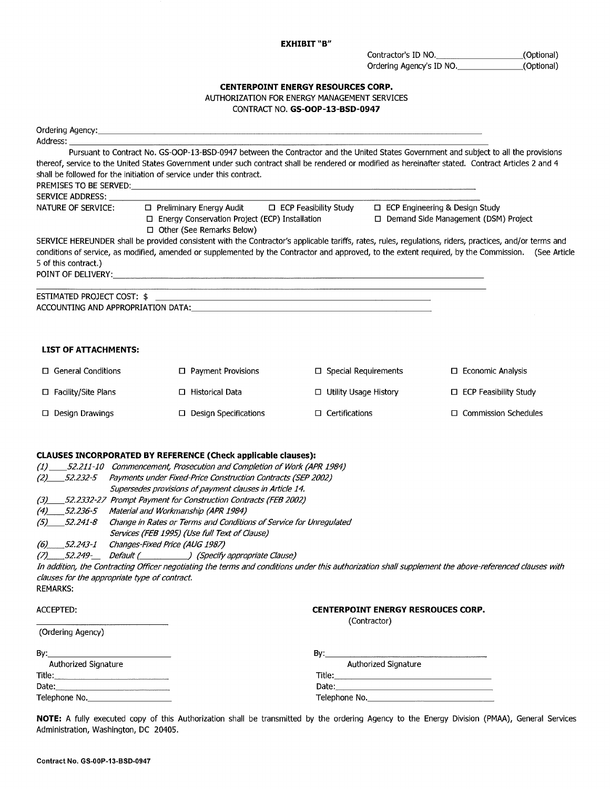Contractor's ID NO.
(Optional)<br>
Ordering Agency's ID NO.
(Optional) Ordering Agency's ID NO.

### **CENTERPOINT ENERGY RESOURCES CORP.**

AUTHORIZATION FOR ENERGY MANAGEMENT SERVICES

CONTRACT NO. **GS·OOP-13-BSD-0947** 

| Address:                                                                                                                                                                                                                                                                                                                                                                                                                                                                                                                                                                                                                                                                                                                                                                                                                                                                                            |                                                           |                                                                                 |
|-----------------------------------------------------------------------------------------------------------------------------------------------------------------------------------------------------------------------------------------------------------------------------------------------------------------------------------------------------------------------------------------------------------------------------------------------------------------------------------------------------------------------------------------------------------------------------------------------------------------------------------------------------------------------------------------------------------------------------------------------------------------------------------------------------------------------------------------------------------------------------------------------------|-----------------------------------------------------------|---------------------------------------------------------------------------------|
| Pursuant to Contract No. GS-OOP-13-BSD-0947 between the Contractor and the United States Government and subject to all the provisions<br>thereof, service to the United States Government under such contract shall be rendered or modified as hereinafter stated. Contract Articles 2 and 4<br>shall be followed for the initiation of service under this contract.                                                                                                                                                                                                                                                                                                                                                                                                                                                                                                                                |                                                           |                                                                                 |
|                                                                                                                                                                                                                                                                                                                                                                                                                                                                                                                                                                                                                                                                                                                                                                                                                                                                                                     |                                                           |                                                                                 |
| SERVICE ADDRESS: ______                                                                                                                                                                                                                                                                                                                                                                                                                                                                                                                                                                                                                                                                                                                                                                                                                                                                             |                                                           |                                                                                 |
| NATURE OF SERVICE:<br>□ Preliminary Energy Audit □ ECP Feasibility Study<br>$\Box$ Energy Conservation Project (ECP) Installation<br>□ Other (See Remarks Below)                                                                                                                                                                                                                                                                                                                                                                                                                                                                                                                                                                                                                                                                                                                                    |                                                           | $\Box$ ECP Engineering & Design Study<br>□ Demand Side Management (DSM) Project |
| SERVICE HEREUNDER shall be provided consistent with the Contractor's applicable tariffs, rates, rules, regulations, riders, practices, and/or terms and<br>conditions of service, as modified, amended or supplemented by the Contractor and approved, to the extent required, by the Commission. (See Article<br>5 of this contract.)                                                                                                                                                                                                                                                                                                                                                                                                                                                                                                                                                              |                                                           |                                                                                 |
| <b>ESTIMATED PROJECT COST: \$</b><br><u> 1999 - Johann Harry Harry Harry Harry Harry Harry Harry Harry Harry Harry Harry Harry Harry Harry Harry Harry Harry Harry Harry Harry Harry Harry Harry Harry Harry Harry Harry Harry Harry Harry Harry Harry Harry Harry Ha</u>                                                                                                                                                                                                                                                                                                                                                                                                                                                                                                                                                                                                                           |                                                           |                                                                                 |
|                                                                                                                                                                                                                                                                                                                                                                                                                                                                                                                                                                                                                                                                                                                                                                                                                                                                                                     |                                                           |                                                                                 |
| LIST OF ATTACHMENTS:                                                                                                                                                                                                                                                                                                                                                                                                                                                                                                                                                                                                                                                                                                                                                                                                                                                                                |                                                           |                                                                                 |
| $\Box$ General Conditions<br>□ Payment Provisions                                                                                                                                                                                                                                                                                                                                                                                                                                                                                                                                                                                                                                                                                                                                                                                                                                                   | □ Special Requirements                                    | □ Economic Analysis                                                             |
| □ Facility/Site Plans<br>□ Historical Data                                                                                                                                                                                                                                                                                                                                                                                                                                                                                                                                                                                                                                                                                                                                                                                                                                                          | □ Utility Usage History                                   | □ ECP Feasibility Study                                                         |
| $\Box$ Design Drawings<br>$\Box$ Design Specifications                                                                                                                                                                                                                                                                                                                                                                                                                                                                                                                                                                                                                                                                                                                                                                                                                                              | $\Box$ Certifications                                     | $\Box$ Commission Schedules                                                     |
| <b>CLAUSES INCORPORATED BY REFERENCE (Check applicable clauses):</b><br>(1) 52.211-10 Commencement, Prosecution and Completion of Work (APR 1984)<br>(2) 52.232-5 Payments under Fixed-Price Construction Contracts (SEP 2002)<br>Supersedes provisions of payment clauses in Article 14.<br>(3) 52.2332-27 Prompt Payment for Construction Contracts (FEB 2002)<br>(4) 52.236-5 Material and Workmanship (APR 1984)<br>52.241-8<br>Change in Rates or Terms and Conditions of Service for Unregulated<br>(5)<br>Services (FEB 1995) (Use full Text of Clause)<br>$(6)$ 52.243-1<br>Changes-Fixed Price (AUG 1987)<br>(7) 52.249- Default (Specify appropriate Clause)<br>In addition, the Contracting Officer negotiating the terms and conditions under this authorization shall supplement the above-referenced clauses with<br>clauses for the appropriate type of contract.<br><b>REMARKS:</b> |                                                           |                                                                                 |
| ACCEPTED:                                                                                                                                                                                                                                                                                                                                                                                                                                                                                                                                                                                                                                                                                                                                                                                                                                                                                           | <b>CENTERPOINT ENERGY RESROUCES CORP.</b><br>(Contractor) |                                                                                 |
| (Ordering Agency)                                                                                                                                                                                                                                                                                                                                                                                                                                                                                                                                                                                                                                                                                                                                                                                                                                                                                   |                                                           |                                                                                 |
|                                                                                                                                                                                                                                                                                                                                                                                                                                                                                                                                                                                                                                                                                                                                                                                                                                                                                                     |                                                           |                                                                                 |
| Authorized Signature                                                                                                                                                                                                                                                                                                                                                                                                                                                                                                                                                                                                                                                                                                                                                                                                                                                                                | Authorized Signature                                      |                                                                                 |
|                                                                                                                                                                                                                                                                                                                                                                                                                                                                                                                                                                                                                                                                                                                                                                                                                                                                                                     |                                                           |                                                                                 |
|                                                                                                                                                                                                                                                                                                                                                                                                                                                                                                                                                                                                                                                                                                                                                                                                                                                                                                     |                                                           |                                                                                 |
| Telephone No._____________________                                                                                                                                                                                                                                                                                                                                                                                                                                                                                                                                                                                                                                                                                                                                                                                                                                                                  |                                                           |                                                                                 |

**NOTE:** A fully executed copy of this Authorization shall be transmitted by the ordering Agency to the Energy Division (PMAA), General Services Administration, Washington, DC 20405.